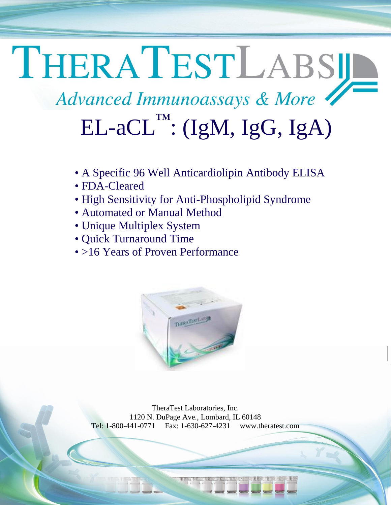## THERATESTLABSIL Advanced Immunoassays & More  $\text{EL-aCL}^{\text{TM}}$ : (IgM, IgG, IgA)

- A Specific 96 Well Anticardiolipin Antibody ELISA
- FDA-Cleared
- High Sensitivity for Anti-Phospholipid Syndrome
- Automated or Manual Method
- Unique Multiplex System
- Quick Turnaround Time
- >16 Years of Proven Performance



TheraTest Laboratories, Inc. 1120 N. DuPage Ave., Lombard, IL 60148 Tel: 1-800-441-0771 Fax: 1-630-627-4231 [www.theratest.com](http://www.theratest.com/)